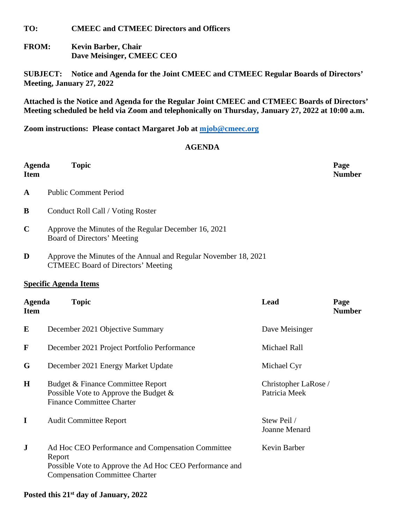**TO: CMEEC and CTMEEC Directors and Officers**

**FROM: Kevin Barber, Chair Dave Meisinger, CMEEC CEO**

**SUBJECT: Notice and Agenda for the Joint CMEEC and CTMEEC Regular Boards of Directors' Meeting, January 27, 2022**

**Attached is the Notice and Agenda for the Regular Joint CMEEC and CTMEEC Boards of Directors' Meeting scheduled be held via Zoom and telephonically on Thursday, January 27, 2022 at 10:00 a.m.**

**Zoom instructions: Please contact Margaret Job at [mjob@cmeec.org](mailto:mjob@cmeec.org)**

## **AGENDA**

| <b>Agenda</b><br><b>Item</b> | <b>Topic</b>                                                                                                                                                    |                                       | Page<br><b>Number</b> |  |  |
|------------------------------|-----------------------------------------------------------------------------------------------------------------------------------------------------------------|---------------------------------------|-----------------------|--|--|
| A                            | <b>Public Comment Period</b>                                                                                                                                    |                                       |                       |  |  |
| B                            | Conduct Roll Call / Voting Roster                                                                                                                               |                                       |                       |  |  |
| $\mathbf C$                  | Approve the Minutes of the Regular December 16, 2021<br>Board of Directors' Meeting                                                                             |                                       |                       |  |  |
| D                            | Approve the Minutes of the Annual and Regular November 18, 2021<br><b>CTMEEC Board of Directors' Meeting</b>                                                    |                                       |                       |  |  |
| <b>Specific Agenda Items</b> |                                                                                                                                                                 |                                       |                       |  |  |
| <b>Agenda</b><br><b>Item</b> | <b>Topic</b>                                                                                                                                                    | Lead                                  | Page<br><b>Number</b> |  |  |
| E                            | December 2021 Objective Summary                                                                                                                                 | Dave Meisinger                        |                       |  |  |
| $\mathbf F$                  | December 2021 Project Portfolio Performance                                                                                                                     | Michael Rall                          |                       |  |  |
| G                            | December 2021 Energy Market Update                                                                                                                              | Michael Cyr                           |                       |  |  |
| $\mathbf H$                  | Budget & Finance Committee Report<br>Possible Vote to Approve the Budget $\&$<br><b>Finance Committee Charter</b>                                               | Christopher LaRose /<br>Patricia Meek |                       |  |  |
| $\mathbf I$                  | <b>Audit Committee Report</b>                                                                                                                                   | Stew Peil /<br>Joanne Menard          |                       |  |  |
| ${\bf J}$                    | Ad Hoc CEO Performance and Compensation Committee<br>Report<br>Possible Vote to Approve the Ad Hoc CEO Performance and<br><b>Compensation Committee Charter</b> | Kevin Barber                          |                       |  |  |

## **Posted this 21st day of January, 2022**